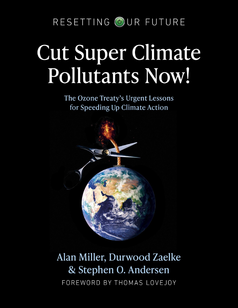RESETTING OUR FUTURE

## Cut Super Climate Pollutants Now!

The Ozone Treaty's Urgent Lessons for Speeding Up Climate Action



## Alan Miller, Durwood Zaelke & Stephen O. Andersen FOREWORD BY THOMAS LOVEJOY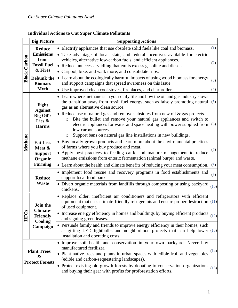|                     | <b>Big Picture</b>                                                          | <b>Supporting Actions</b>                                                                                                                                                                                                                                                                                                                                                                   |              |
|---------------------|-----------------------------------------------------------------------------|---------------------------------------------------------------------------------------------------------------------------------------------------------------------------------------------------------------------------------------------------------------------------------------------------------------------------------------------------------------------------------------------|--------------|
| <b>Black Carbon</b> | <b>Reduce</b>                                                               | • Electrify appliances that use obsolete solid fuels like coal and biomass.                                                                                                                                                                                                                                                                                                                 | (1)          |
|                     | <b>Emissions</b><br>from<br><b>Fossil Fuel</b><br>& Fires                   | • Take advantage of local, state, and federal incentives available for electric<br>vehicles, alternative low-carbon fuels, and efficient appliances.<br>• Reduce unnecessary idling that emits excess gasoline and diesel.<br>• Carpool, bike, and walk more, and consolidate trips.                                                                                                        | (2)          |
|                     | <b>Debunk</b> the<br><b>Biomass</b>                                         | • Learn about the ecologically harmful impacts of using wood biomass for energy<br>and support campaigns that spread awareness on this issue.                                                                                                                                                                                                                                               | (3)          |
|                     | <b>Myth</b>                                                                 | • Use improved clean cookstoves, fireplaces, and charbroilers.                                                                                                                                                                                                                                                                                                                              | (4)          |
| Methane             | Fight<br><b>Against</b>                                                     | • Learn where methane is in your daily life and how the oil and gas industry slows<br>the transition away from fossil fuel energy, such as falsely promoting natural<br>gas as an alternative clean source.                                                                                                                                                                                 | (5)          |
|                     | <b>Big Oil's</b><br>Lies &<br><b>Harms</b>                                  | • Reduce use of natural gas and remove subsidies from new oil $\&$ gas projects.<br>Bite the bullet and remove your natural gas appliances and switch to<br>$\circ$<br>electric appliances for water and space heating with power supplied from<br>low carbon sources.<br>Support bans on natural gas line installations in new buildings.<br>O                                             | (6)          |
|                     | <b>Eat Less</b><br>Meat &<br><b>Support</b><br>Organic                      | • Buy locally-grown products and learn more about the environmental practices<br>of farms where you buy produce and meat.<br>• Apply best practices to feeding cattle and manure management to reduce<br>methane emissions from enteric fermentation (animal burps) and waste.                                                                                                              | (7)          |
|                     | <b>Farming</b>                                                              | • Learn about the health and climate benefits of reducing your meat consumption.                                                                                                                                                                                                                                                                                                            | (8)          |
|                     | <b>Reduce</b><br><b>Waste</b>                                               | • Implement food rescue and recovery programs in food establishments and<br>support local food banks.                                                                                                                                                                                                                                                                                       | (9)          |
|                     |                                                                             | • Divert organic materials from landfills through composting or using backyard<br>chickens.                                                                                                                                                                                                                                                                                                 | (10)         |
| <b>HFCs</b>         | <b>Join the</b><br><b>Climate</b><br><b>Friendly</b><br>Cooling<br>Campaign | · Replace older, inefficient air conditioners and refrigerators with efficient<br>equipment that uses climate-friendly refrigerants and ensure proper destruction $(11)$<br>of used equipment.                                                                                                                                                                                              |              |
|                     |                                                                             | • Increase energy efficiency in homes and buildings by buying efficient products $\Big _{(12)}$<br>and signing green leases.                                                                                                                                                                                                                                                                |              |
|                     |                                                                             | • Persuade family and friends to improve energy efficiency in their homes, such<br>as gifting LED lightbulbs and neighborhood projects that can help lower $(13)$<br>installation and operating costs.                                                                                                                                                                                      |              |
|                     | <b>Plant Trees</b><br>&<br><b>Protect Forests</b>                           | • Improve soil health and conservation in your own backyard. Never buy<br>manufactured fertilizer.<br>• Plant native trees and plants in urban spaces with edible fruit and vegetables<br>(edible and carbon-sequestering landscapes).<br>• Protect existing old-growth forests by donating to conservation organizations<br>and buying their gear with profits for proforestation efforts. | (14)<br>(15) |

## **Individual Actions to Cut Super Climate Pollutants**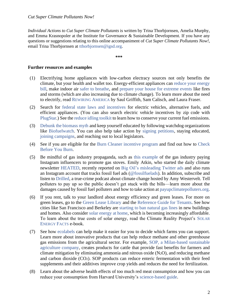*Individual Actions to Cut Super Climate Pollutants* is written by Trina Thorbjornsen, Amelia Murphy, and Emma Krasnopoler at the Institute for Governance & Sustainable Development. If you have any questions or suggestions relating to this online accompaniment of *Cut Super Climate Pollutants Now!*, email Trina Thorbjornsen at [tthorbjornsen@igsd.org.](mailto:tthorbjornsen@igsd.org)

**\*\*\***

## **Further resources and examples**

- <span id="page-2-0"></span>(1) Electrifying home appliances with low-carbon electracy sources not only benefits the climate, but your health and wallet too. Energy-efficient appliances can [reduce your energy](https://www.rewiringamerica.org/household-savings-report)  [bill,](https://www.rewiringamerica.org/household-savings-report) make indoor air [safer to breathe,](https://www.epa.gov/indoor-air-quality-iaq/introduction-indoor-air-quality) and [prepare your house for extreme events](https://www.switchison.org/how-it-works#backup-power-and-storage) like fires and storms (which are also increasing due to climate change). To learn more about the need to electrify, read R[EWIRING](https://www.rewiringamerica.org/handbook) AMERICA by Saul Griffith, Sam Calisch, and Laura Fraser.
- (2) Search for [federal state laws and incentives](http://afdc.energy.gov/laws/search) for electric vehicles, alternative fuels, and efficient appliances. (You can also search electric vehicle incentives by zip code with [PlugStar.](https://plugstar.zappyride.com/tools/incentives)) See the [reduce idling toolkit](http://cleancities.energy.gov/technical-assistance/idlebox) to learn how to conserve your current fuel emissions.
- <span id="page-2-1"></span>(3) [Debunk the biomass myth](http://biologicaldiversity.org/campaigns/debunking_the_biomass_myth) and keep yourself educated by following watchdog organizations like [Biofuelwatch.](http://biofuelwatch.org.uk/) You can also help take action by [signing petitions,](https://www.biofuelwatch.org.uk/2015/take-action/) staying educated, [joining campaigns,](http://www.energyjustice.net/platform/) and reaching out to local legislators.
- <span id="page-2-2"></span>(4) See if you are eligible for the [Burn Cleaner incentive program](http://valleyair.org/grants/apps/burncleaner/Home) and find out how to [Check](http://valleyair.org/aqinfo/cbyb.htm)  [Before You Burn.](http://valleyair.org/aqinfo/cbyb.htm)
- <span id="page-2-3"></span>(5) Be mindful of gas industry propaganda, such as [this example](http://motherjones.com/environment/2020/06/gas-industry-influencers-stoves) of the gas industry paying Instagram influencers to promote gas stoves. Emily Atkin, who started the daily climate newsletter [HEATED,](https://heated.world/) recently reported on [Big Oil's misleading Twitter ads](https://heated.world/p/twitters-big-oil-ad-loophole) and also runs an Instagram account that tracks fossil fuel ads [\(@fossilfuelads\)](https://www.instagram.com/fossilfuelads/). In addition, subscribe and listen to [Drilled,](http://drillednews.com/podcasts) a true-crime podcast about climate change hosted by Amy Westervelt. Tell polluters to pay up so the public doesn't get stuck with the bills––learn more about the damages caused by fossil fuel polluters and how to take action at [payupclimatepolluters.org.](https://payupclimatepolluters.org/)
- <span id="page-2-4"></span>(6) If you rent, talk to your landlord about energy efficiency and green leases. For more on green leases, go to the [Green Lease Library](http://greenleaseleaders.com/green-lease-library/) and the [Reference Guide for Tenants.](http://greenleaseleaders.com/wp-content/uploads/2018/08/Green-Lease-Leaders-Tenant-Reference-Guide.pdf) See how cities like San Francisco and Berkeley are [starting to ban natural gas lines](http://cbsnews.com/news/cities-are-banning-natural-gas-in-new-homes-because-of-climate-change) in new buildings and homes. Also consider [solar energy at home,](http://nrdc.org/stories/should-you-go-solar) which is becoming increasingly affordable. To learn about the true costs of solar energy, read the Climate Reality Project's S[OLAR](https://www.climaterealityproject.org/learn/solarfacts?_ga=2.192106858.1595685625.1613236728-868447921.1610376724)  E[NERGY](https://www.climaterealityproject.org/learn/solarfacts?_ga=2.192106858.1595685625.1613236728-868447921.1610376724) FACTS e-book.
- <span id="page-2-5"></span>(7) See how [ecolabels](http://globalecolabelling.net/what-is-eco-labelling) can help make it easier for you to decide which farms you can support. Learn more about innovative products that can help reduce methane and other greenhouse gas emissions from the agricultural sector. For example, [SOP, a Milan-based sustainable](https://www.sopfarm.com/)  [agriculture company,](https://www.sopfarm.com/) creates products for cattle that provide fast benefits for farmers and climate mitigation by eliminating ammonia and nitrous oxide  $(N_2O)$ , and reducing methane and carbon dioxide (CO2). SOP products can reduce enteric fermentation with their feed supplements and their additives improve crop yields and reduces the need for fertilization.
- <span id="page-2-6"></span>(8) Learn about the adverse health effects of too much red meat consumption and how you can reduce your consumption from Harvard University's [science-based guide.](http://hsph.harvard.edu/nutritionsource/elevate-your-plate)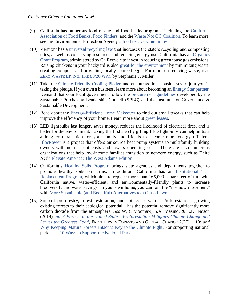- <span id="page-3-0"></span>(9) California has numerous food rescue and food banks programs, including the California Association of Food Banks, Food Finders, and the Waste Not OC Coalition. To learn more, see the Environmental Protection Agency's food recovery hierarchy.
- <span id="page-3-1"></span>(10) Vermont has a universal recycling law that increases the state's recycling and composting rates, as well as conserving resources and reducing energy use. California has an Organics Grant Program, administered by CalRecycle to invest in reducing greenhouse gas emissions. Raising chickens in your backyard is also great for the environment by minimizing waste, creating compost, and providing locally-sourced eggs. For more on reducing waste, read ZERO WASTE LIVING, THE 80/20 WAY by Stephanie J. Miller.
- <span id="page-3-2"></span>(11) Take the Climate-Friendly Cooling Pledge and encourage local businesses to join you in taking the pledge. If you own a business, learn more about becoming an Energy Star partner. Demand that your local government follow the procurement guidelines developed by the Sustainable Purchasing Leadership Council (SPLC) and the Institute for Governance & Sustainable Deveopment.
- <span id="page-3-3"></span>(12) Read about the Energy-Efficient Home Makeover to find out small tweaks that can help improve the efficiency of your home. Learn more about green leases.
- <span id="page-3-4"></span>(13) LED lightbulbs last longer, saves money, reduces the likelihood of electrical fires, and is better for the environment. Taking the first step by gifting LED lightbulbs can help initiate a long-term transition for your family and friends to become more energy efficient. BlocPower is a project that offers air source heat pump systems to multifamily building owners with no up-front costs and lowers operating costs. There are also numerous organizations that help low-income families transition to net-zero energy, such as Third Act's Elevate America: The West Adams Edition.
- <span id="page-3-5"></span>(14) California's Healthy Soils Program brings state agencies and departments together to promote healthy soils on farms. In addition, California has an Institutional Turf Replacement Program, which aims to replace more than 165,000 square feet of turf with California native, water-efficient, and environmentally-friendly plants to increase biodiversity and water savings. In your own home, you can join the "no-mow movement" with More Sustainable (and Beautiful) Alternatives to a Grass Lawn.
- <span id="page-3-6"></span>(15) Support proforestry, forest restoration, and soil conservation. Proforestation––growing existing forests to their ecological potential––has the potential remove significantly more carbon dioxide from the atmosphere. *See* W.R. Moomaw, S.A. Masino, & E.K. Faison (2019) *Intact Forests in the United States: Proforestation Mitigates Climate Change and Serves the Greatest Good*, FRONTIERS IN FORESTS AND GLOBAL CHANGE 2(27):1–10; *and* Why Keeping Mature Forests Intact is Key to the Climate Fight. For supporting national parks, see 10 Ways to Support the National Parks.